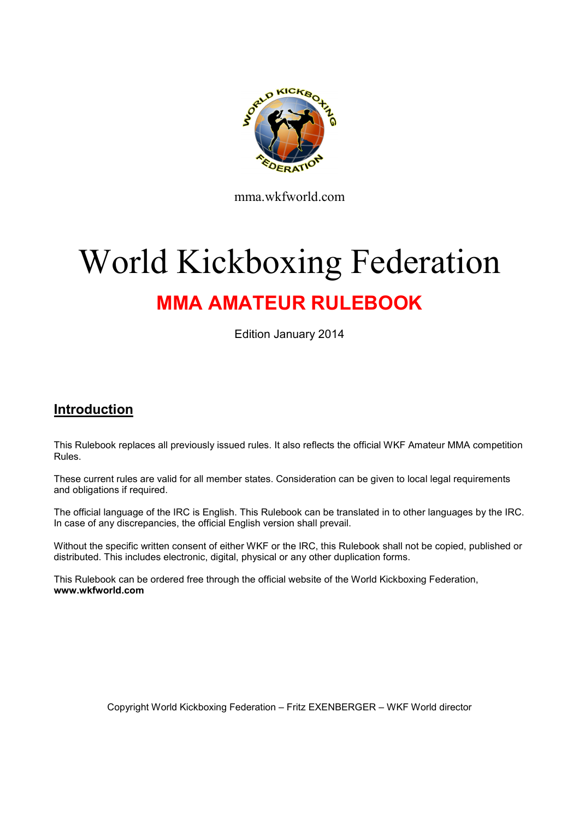

mma.wkfworld.com

# World Kickboxing Federation MMA AMATEUR RULEBOOK

Edition January 2014

# Introduction

This Rulebook replaces all previously issued rules. It also reflects the official WKF Amateur MMA competition Rules.

These current rules are valid for all member states. Consideration can be given to local legal requirements and obligations if required.

The official language of the IRC is English. This Rulebook can be translated in to other languages by the IRC. In case of any discrepancies, the official English version shall prevail.

Without the specific written consent of either WKF or the IRC, this Rulebook shall not be copied, published or distributed. This includes electronic, digital, physical or any other duplication forms.

This Rulebook can be ordered free through the official website of the World Kickboxing Federation, www.wkfworld.com

Copyright World Kickboxing Federation – Fritz EXENBERGER – WKF World director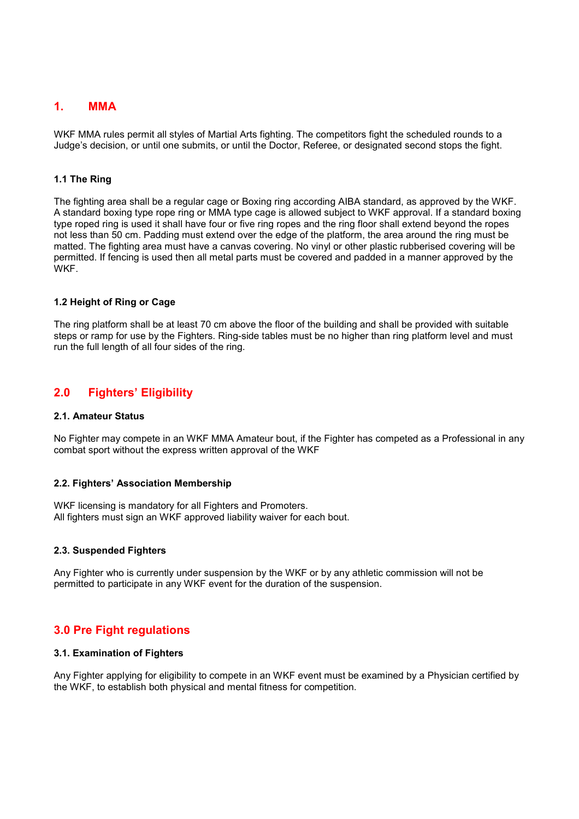# 1. MMA

WKF MMA rules permit all styles of Martial Arts fighting. The competitors fight the scheduled rounds to a Judge's decision, or until one submits, or until the Doctor, Referee, or designated second stops the fight.

#### 1.1 The Ring

The fighting area shall be a regular cage or Boxing ring according AIBA standard, as approved by the WKF. A standard boxing type rope ring or MMA type cage is allowed subject to WKF approval. If a standard boxing type roped ring is used it shall have four or five ring ropes and the ring floor shall extend beyond the ropes not less than 50 cm. Padding must extend over the edge of the platform, the area around the ring must be matted. The fighting area must have a canvas covering. No vinyl or other plastic rubberised covering will be permitted. If fencing is used then all metal parts must be covered and padded in a manner approved by the WKF.

#### 1.2 Height of Ring or Cage

The ring platform shall be at least 70 cm above the floor of the building and shall be provided with suitable steps or ramp for use by the Fighters. Ring-side tables must be no higher than ring platform level and must run the full length of all four sides of the ring.

# 2.0 Fighters' Eligibility

#### 2.1. Amateur Status

No Fighter may compete in an WKF MMA Amateur bout, if the Fighter has competed as a Professional in any combat sport without the express written approval of the WKF

#### 2.2. Fighters' Association Membership

WKF licensing is mandatory for all Fighters and Promoters. All fighters must sign an WKF approved liability waiver for each bout.

#### 2.3. Suspended Fighters

Any Fighter who is currently under suspension by the WKF or by any athletic commission will not be permitted to participate in any WKF event for the duration of the suspension.

# 3.0 Pre Fight regulations

#### 3.1. Examination of Fighters

Any Fighter applying for eligibility to compete in an WKF event must be examined by a Physician certified by the WKF, to establish both physical and mental fitness for competition.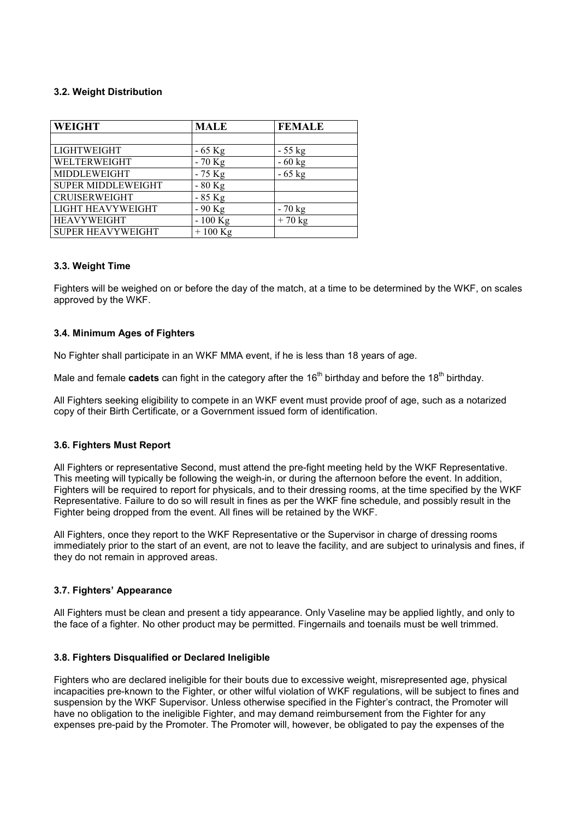#### 3.2. Weight Distribution

| <b>WEIGHT</b>             | <b>MALE</b> | <b>FEMALE</b> |
|---------------------------|-------------|---------------|
|                           |             |               |
| <b>LIGHTWEIGHT</b>        | $-65$ Kg    | $-55$ kg      |
| WELTERWEIGHT              | $-70$ Kg    | $-60$ kg      |
| MIDDLEWEIGHT              | $-75$ Kg    | $-65$ kg      |
| <b>SUPER MIDDLEWEIGHT</b> | $-80$ Kg    |               |
| <b>CRUISERWEIGHT</b>      | $-85$ Kg    |               |
| <b>LIGHT HEAVYWEIGHT</b>  | $-90$ Kg    | $-70$ kg      |
| <b>HEAVYWEIGHT</b>        | $-100$ Kg   | $+70$ kg      |
| <b>SUPER HEAVYWEIGHT</b>  | $+100$ Kg   |               |

#### 3.3. Weight Time

Fighters will be weighed on or before the day of the match, at a time to be determined by the WKF, on scales approved by the WKF.

#### 3.4. Minimum Ages of Fighters

No Fighter shall participate in an WKF MMA event, if he is less than 18 years of age.

Male and female cadets can fight in the category after the  $16<sup>th</sup>$  birthday and before the  $18<sup>th</sup>$  birthday.

All Fighters seeking eligibility to compete in an WKF event must provide proof of age, such as a notarized copy of their Birth Certificate, or a Government issued form of identification.

#### 3.6. Fighters Must Report

All Fighters or representative Second, must attend the pre-fight meeting held by the WKF Representative. This meeting will typically be following the weigh-in, or during the afternoon before the event. In addition, Fighters will be required to report for physicals, and to their dressing rooms, at the time specified by the WKF Representative. Failure to do so will result in fines as per the WKF fine schedule, and possibly result in the Fighter being dropped from the event. All fines will be retained by the WKF.

All Fighters, once they report to the WKF Representative or the Supervisor in charge of dressing rooms immediately prior to the start of an event, are not to leave the facility, and are subject to urinalysis and fines, if they do not remain in approved areas.

#### 3.7. Fighters' Appearance

All Fighters must be clean and present a tidy appearance. Only Vaseline may be applied lightly, and only to the face of a fighter. No other product may be permitted. Fingernails and toenails must be well trimmed.

#### 3.8. Fighters Disqualified or Declared Ineligible

Fighters who are declared ineligible for their bouts due to excessive weight, misrepresented age, physical incapacities pre-known to the Fighter, or other wilful violation of WKF regulations, will be subject to fines and suspension by the WKF Supervisor. Unless otherwise specified in the Fighter's contract, the Promoter will have no obligation to the ineligible Fighter, and may demand reimbursement from the Fighter for any expenses pre-paid by the Promoter. The Promoter will, however, be obligated to pay the expenses of the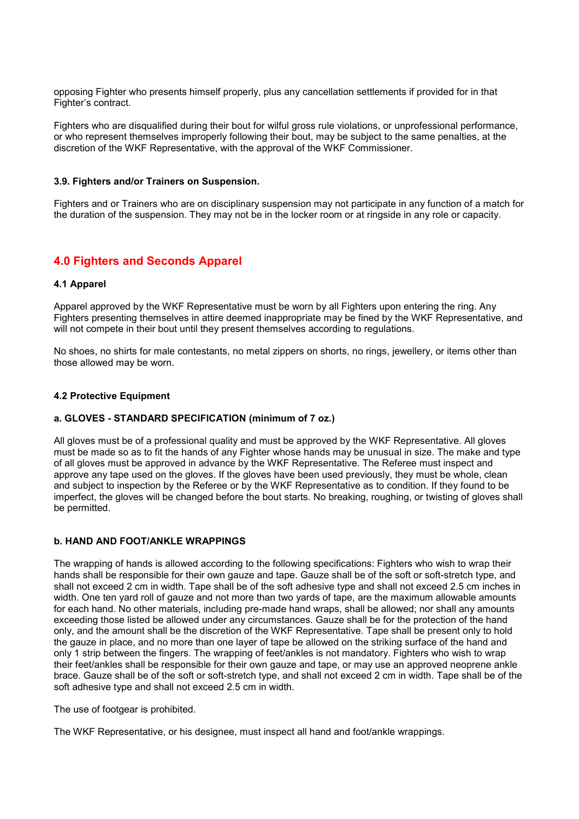opposing Fighter who presents himself properly, plus any cancellation settlements if provided for in that Fighter's contract.

Fighters who are disqualified during their bout for wilful gross rule violations, or unprofessional performance, or who represent themselves improperly following their bout, may be subject to the same penalties, at the discretion of the WKF Representative, with the approval of the WKF Commissioner.

#### 3.9. Fighters and/or Trainers on Suspension.

Fighters and or Trainers who are on disciplinary suspension may not participate in any function of a match for the duration of the suspension. They may not be in the locker room or at ringside in any role or capacity.

# 4.0 Fighters and Seconds Apparel

#### 4.1 Apparel

Apparel approved by the WKF Representative must be worn by all Fighters upon entering the ring. Any Fighters presenting themselves in attire deemed inappropriate may be fined by the WKF Representative, and will not compete in their bout until they present themselves according to regulations.

No shoes, no shirts for male contestants, no metal zippers on shorts, no rings, jewellery, or items other than those allowed may be worn.

#### 4.2 Protective Equipment

#### a. GLOVES - STANDARD SPECIFICATION (minimum of 7 oz.)

All gloves must be of a professional quality and must be approved by the WKF Representative. All gloves must be made so as to fit the hands of any Fighter whose hands may be unusual in size. The make and type of all gloves must be approved in advance by the WKF Representative. The Referee must inspect and approve any tape used on the gloves. If the gloves have been used previously, they must be whole, clean and subject to inspection by the Referee or by the WKF Representative as to condition. If they found to be imperfect, the gloves will be changed before the bout starts. No breaking, roughing, or twisting of gloves shall be permitted.

#### b. HAND AND FOOT/ANKLE WRAPPINGS

The wrapping of hands is allowed according to the following specifications: Fighters who wish to wrap their hands shall be responsible for their own gauze and tape. Gauze shall be of the soft or soft-stretch type, and shall not exceed 2 cm in width. Tape shall be of the soft adhesive type and shall not exceed 2.5 cm inches in width. One ten yard roll of gauze and not more than two yards of tape, are the maximum allowable amounts for each hand. No other materials, including pre-made hand wraps, shall be allowed; nor shall any amounts exceeding those listed be allowed under any circumstances. Gauze shall be for the protection of the hand only, and the amount shall be the discretion of the WKF Representative. Tape shall be present only to hold the gauze in place, and no more than one layer of tape be allowed on the striking surface of the hand and only 1 strip between the fingers. The wrapping of feet/ankles is not mandatory. Fighters who wish to wrap their feet/ankles shall be responsible for their own gauze and tape, or may use an approved neoprene ankle brace. Gauze shall be of the soft or soft-stretch type, and shall not exceed 2 cm in width. Tape shall be of the soft adhesive type and shall not exceed 2.5 cm in width.

The use of footgear is prohibited.

The WKF Representative, or his designee, must inspect all hand and foot/ankle wrappings.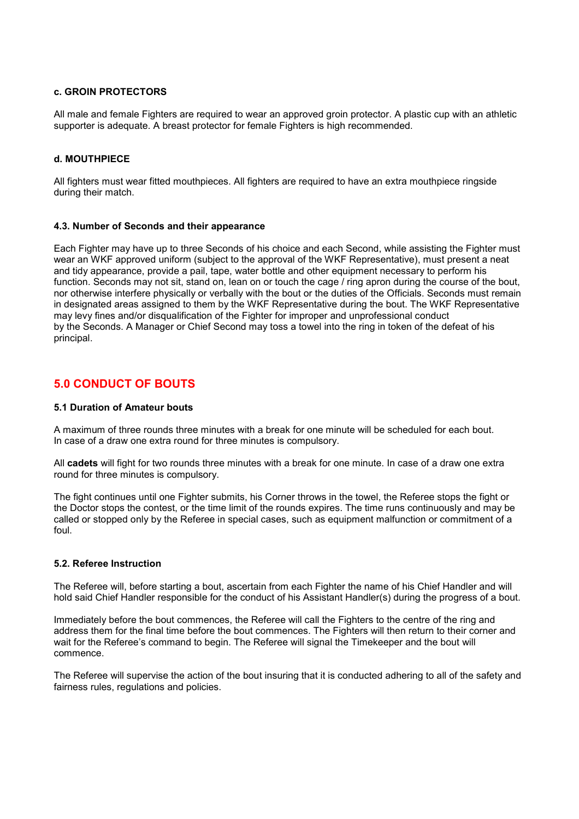#### c. GROIN PROTECTORS

All male and female Fighters are required to wear an approved groin protector. A plastic cup with an athletic supporter is adequate. A breast protector for female Fighters is high recommended.

#### d. MOUTHPIECE

All fighters must wear fitted mouthpieces. All fighters are required to have an extra mouthpiece ringside during their match.

#### 4.3. Number of Seconds and their appearance

Each Fighter may have up to three Seconds of his choice and each Second, while assisting the Fighter must wear an WKF approved uniform (subject to the approval of the WKF Representative), must present a neat and tidy appearance, provide a pail, tape, water bottle and other equipment necessary to perform his function. Seconds may not sit, stand on, lean on or touch the cage / ring apron during the course of the bout, nor otherwise interfere physically or verbally with the bout or the duties of the Officials. Seconds must remain in designated areas assigned to them by the WKF Representative during the bout. The WKF Representative may levy fines and/or disqualification of the Fighter for improper and unprofessional conduct by the Seconds. A Manager or Chief Second may toss a towel into the ring in token of the defeat of his principal.

# 5.0 CONDUCT OF BOUTS

#### 5.1 Duration of Amateur bouts

A maximum of three rounds three minutes with a break for one minute will be scheduled for each bout. In case of a draw one extra round for three minutes is compulsory.

All cadets will fight for two rounds three minutes with a break for one minute. In case of a draw one extra round for three minutes is compulsory.

The fight continues until one Fighter submits, his Corner throws in the towel, the Referee stops the fight or the Doctor stops the contest, or the time limit of the rounds expires. The time runs continuously and may be called or stopped only by the Referee in special cases, such as equipment malfunction or commitment of a foul.

#### 5.2. Referee Instruction

The Referee will, before starting a bout, ascertain from each Fighter the name of his Chief Handler and will hold said Chief Handler responsible for the conduct of his Assistant Handler(s) during the progress of a bout.

Immediately before the bout commences, the Referee will call the Fighters to the centre of the ring and address them for the final time before the bout commences. The Fighters will then return to their corner and wait for the Referee's command to begin. The Referee will signal the Timekeeper and the bout will commence.

The Referee will supervise the action of the bout insuring that it is conducted adhering to all of the safety and fairness rules, regulations and policies.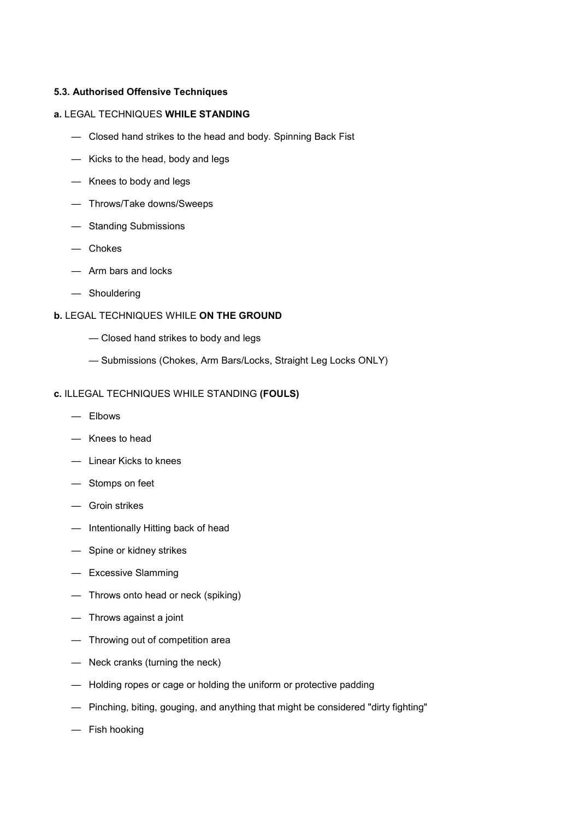#### 5.3. Authorised Offensive Techniques

#### a. LEGAL TECHNIQUES WHILE STANDING

- Closed hand strikes to the head and body. Spinning Back Fist
- Kicks to the head, body and legs
- Knees to body and legs
- Throws/Take downs/Sweeps
- Standing Submissions
- Chokes
- Arm bars and locks
- Shouldering

# b. LEGAL TECHNIQUES WHILE ON THE GROUND

- Closed hand strikes to body and legs
- Submissions (Chokes, Arm Bars/Locks, Straight Leg Locks ONLY)

#### c. ILLEGAL TECHNIQUES WHILE STANDING (FOULS)

- Elbows
- Knees to head
- Linear Kicks to knees
- Stomps on feet
- Groin strikes
- Intentionally Hitting back of head
- Spine or kidney strikes
- Excessive Slamming
- Throws onto head or neck (spiking)
- Throws against a joint
- Throwing out of competition area
- Neck cranks (turning the neck)
- Holding ropes or cage or holding the uniform or protective padding
- Pinching, biting, gouging, and anything that might be considered "dirty fighting"
- Fish hooking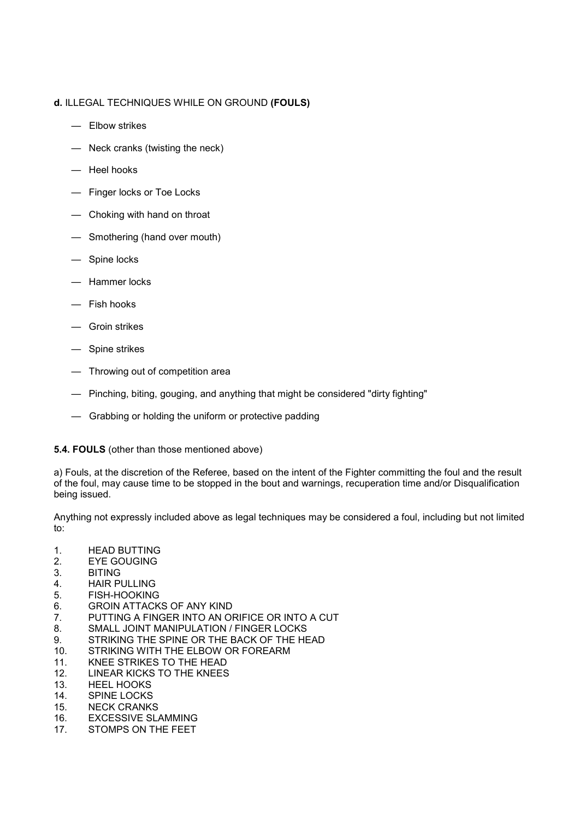## d. ILLEGAL TECHNIQUES WHILE ON GROUND (FOULS)

- Elbow strikes
- Neck cranks (twisting the neck)
- Heel hooks
- Finger locks or Toe Locks
- Choking with hand on throat
- Smothering (hand over mouth)
- Spine locks
- Hammer locks
- Fish hooks
- Groin strikes
- Spine strikes
- Throwing out of competition area
- Pinching, biting, gouging, and anything that might be considered "dirty fighting"
- Grabbing or holding the uniform or protective padding

#### 5.4. FOULS (other than those mentioned above)

a) Fouls, at the discretion of the Referee, based on the intent of the Fighter committing the foul and the result of the foul, may cause time to be stopped in the bout and warnings, recuperation time and/or Disqualification being issued.

Anything not expressly included above as legal techniques may be considered a foul, including but not limited to:

- 1. HEAD BUTTING
- 2. EYE GOUGING
- 3. BITING
- 4. HAIR PULLING
- 5. FISH-HOOKING
- 6. GROIN ATTACKS OF ANY KIND<br>7. PUTTING A FINGER INTO AN OI
- PUTTING A FINGER INTO AN ORIFICE OR INTO A CUT
- 8. SMALL JOINT MANIPULATION / FINGER LOCKS
- 9. STRIKING THE SPINE OR THE BACK OF THE HEAD
- 10. STRIKING WITH THE ELBOW OR FOREARM
- 11. KNEE STRIKES TO THE HEAD
- 12. LINEAR KICKS TO THE KNEES
- 13. HEEL HOOKS
- 14. SPINE LOCKS
- 15. NECK CRANKS
- 16. EXCESSIVE SLAMMING
- 17. STOMPS ON THE FEET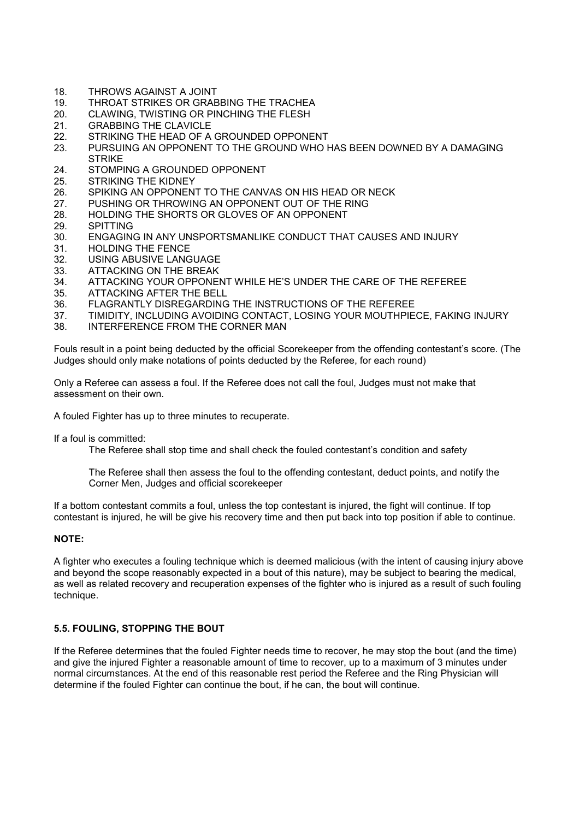- 18. THROWS AGAINST A JOINT
- 19. THROAT STRIKES OR GRABBING THE TRACHEA<br>20. CLAWING, TWISTING OR PINCHING THE FLESH
- CLAWING, TWISTING OR PINCHING THE FLESH
- 21. GRABBING THE CLAVICLE
- 22. STRIKING THE HEAD OF A GROUNDED OPPONENT<br>23. PURSUING AN OPPONENT TO THE GROUND WHO H
- 23. PURSUING AN OPPONENT TO THE GROUND WHO HAS BEEN DOWNED BY A DAMAGING **STRIKE**
- 24. STOMPING A GROUNDED OPPONENT
- 25. STRIKING THE KIDNEY
- 26. SPIKING AN OPPONENT TO THE CANVAS ON HIS HEAD OR NECK
- 27. PUSHING OR THROWING AN OPPONENT OUT OF THE RING
- 28. HOLDING THE SHORTS OR GLOVES OF AN OPPONENT
- 29. SPITTING
- 30. ENGAGING IN ANY UNSPORTSMANLIKE CONDUCT THAT CAUSES AND INJURY
- 31. HOLDING THE FENCE
- 32. USING ABUSIVE LANGUAGE
- 33. ATTACKING ON THE BREAK<br>34. ATTACKING YOUR OPPONED
- ATTACKING YOUR OPPONENT WHILE HE'S UNDER THE CARE OF THE REFEREE
- 35. ATTACKING AFTER THE BELL
- 36. FLAGRANTLY DISREGARDING THE INSTRUCTIONS OF THE REFEREE<br>37. TIMIDITY, INCLUDING AVOIDING CONTACT, LOSING YOUR MOUTHPIF
- 37. TIMIDITY, INCLUDING AVOIDING CONTACT, LOSING YOUR MOUTHPIECE, FAKING INJURY
- 38. INTERFERENCE FROM THE CORNER MAN

Fouls result in a point being deducted by the official Scorekeeper from the offending contestant's score. (The Judges should only make notations of points deducted by the Referee, for each round)

Only a Referee can assess a foul. If the Referee does not call the foul, Judges must not make that assessment on their own.

A fouled Fighter has up to three minutes to recuperate.

If a foul is committed:

The Referee shall stop time and shall check the fouled contestant's condition and safety

The Referee shall then assess the foul to the offending contestant, deduct points, and notify the Corner Men, Judges and official scorekeeper

If a bottom contestant commits a foul, unless the top contestant is injured, the fight will continue. If top contestant is injured, he will be give his recovery time and then put back into top position if able to continue.

#### NOTE:

A fighter who executes a fouling technique which is deemed malicious (with the intent of causing injury above and beyond the scope reasonably expected in a bout of this nature), may be subject to bearing the medical, as well as related recovery and recuperation expenses of the fighter who is injured as a result of such fouling technique.

#### 5.5. FOULING, STOPPING THE BOUT

If the Referee determines that the fouled Fighter needs time to recover, he may stop the bout (and the time) and give the injured Fighter a reasonable amount of time to recover, up to a maximum of 3 minutes under normal circumstances. At the end of this reasonable rest period the Referee and the Ring Physician will determine if the fouled Fighter can continue the bout, if he can, the bout will continue.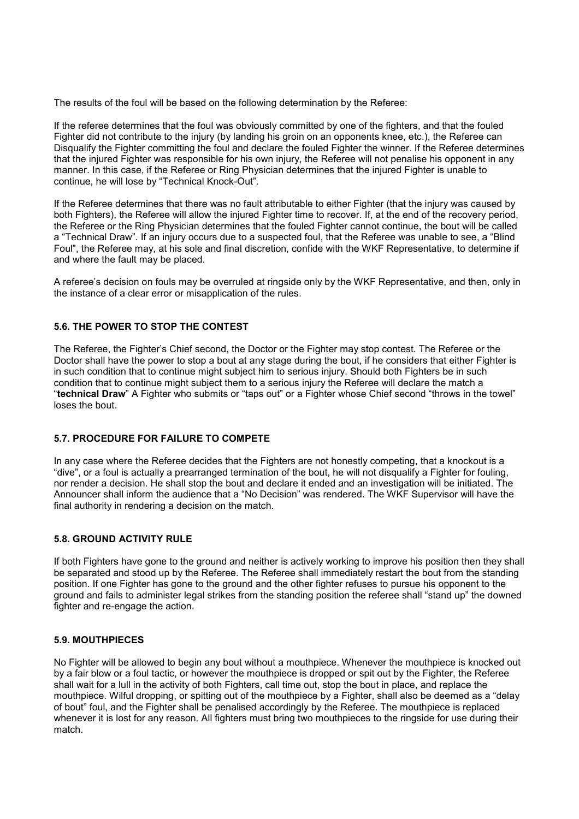The results of the foul will be based on the following determination by the Referee:

If the referee determines that the foul was obviously committed by one of the fighters, and that the fouled Fighter did not contribute to the injury (by landing his groin on an opponents knee, etc.), the Referee can Disqualify the Fighter committing the foul and declare the fouled Fighter the winner. If the Referee determines that the injured Fighter was responsible for his own injury, the Referee will not penalise his opponent in any manner. In this case, if the Referee or Ring Physician determines that the injured Fighter is unable to continue, he will lose by "Technical Knock-Out".

If the Referee determines that there was no fault attributable to either Fighter (that the injury was caused by both Fighters), the Referee will allow the injured Fighter time to recover. If, at the end of the recovery period, the Referee or the Ring Physician determines that the fouled Fighter cannot continue, the bout will be called a "Technical Draw". If an injury occurs due to a suspected foul, that the Referee was unable to see, a "Blind Foul", the Referee may, at his sole and final discretion, confide with the WKF Representative, to determine if and where the fault may be placed.

A referee's decision on fouls may be overruled at ringside only by the WKF Representative, and then, only in the instance of a clear error or misapplication of the rules.

#### 5.6. THE POWER TO STOP THE CONTEST

The Referee, the Fighter's Chief second, the Doctor or the Fighter may stop contest. The Referee or the Doctor shall have the power to stop a bout at any stage during the bout, if he considers that either Fighter is in such condition that to continue might subject him to serious injury. Should both Fighters be in such condition that to continue might subject them to a serious injury the Referee will declare the match a "technical Draw" A Fighter who submits or "taps out" or a Fighter whose Chief second "throws in the towel" loses the bout.

#### 5.7. PROCEDURE FOR FAILURE TO COMPETE

In any case where the Referee decides that the Fighters are not honestly competing, that a knockout is a "dive", or a foul is actually a prearranged termination of the bout, he will not disqualify a Fighter for fouling, nor render a decision. He shall stop the bout and declare it ended and an investigation will be initiated. The Announcer shall inform the audience that a "No Decision" was rendered. The WKF Supervisor will have the final authority in rendering a decision on the match.

#### 5.8. GROUND ACTIVITY RULE

If both Fighters have gone to the ground and neither is actively working to improve his position then they shall be separated and stood up by the Referee. The Referee shall immediately restart the bout from the standing position. If one Fighter has gone to the ground and the other fighter refuses to pursue his opponent to the ground and fails to administer legal strikes from the standing position the referee shall "stand up" the downed fighter and re-engage the action.

#### 5.9. MOUTHPIECES

No Fighter will be allowed to begin any bout without a mouthpiece. Whenever the mouthpiece is knocked out by a fair blow or a foul tactic, or however the mouthpiece is dropped or spit out by the Fighter, the Referee shall wait for a lull in the activity of both Fighters, call time out, stop the bout in place, and replace the mouthpiece. Wilful dropping, or spitting out of the mouthpiece by a Fighter, shall also be deemed as a "delay of bout" foul, and the Fighter shall be penalised accordingly by the Referee. The mouthpiece is replaced whenever it is lost for any reason. All fighters must bring two mouthpieces to the ringside for use during their match.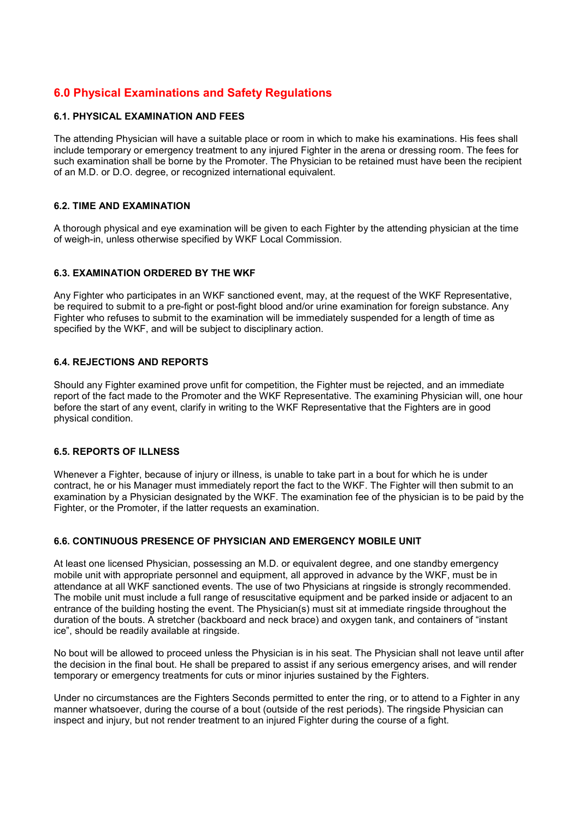# 6.0 Physical Examinations and Safety Regulations

#### 6.1. PHYSICAL EXAMINATION AND FEES

The attending Physician will have a suitable place or room in which to make his examinations. His fees shall include temporary or emergency treatment to any injured Fighter in the arena or dressing room. The fees for such examination shall be borne by the Promoter. The Physician to be retained must have been the recipient of an M.D. or D.O. degree, or recognized international equivalent.

#### 6.2. TIME AND EXAMINATION

A thorough physical and eye examination will be given to each Fighter by the attending physician at the time of weigh-in, unless otherwise specified by WKF Local Commission.

#### 6.3. EXAMINATION ORDERED BY THE WKF

Any Fighter who participates in an WKF sanctioned event, may, at the request of the WKF Representative, be required to submit to a pre-fight or post-fight blood and/or urine examination for foreign substance. Any Fighter who refuses to submit to the examination will be immediately suspended for a length of time as specified by the WKF, and will be subject to disciplinary action.

#### 6.4. REJECTIONS AND REPORTS

Should any Fighter examined prove unfit for competition, the Fighter must be rejected, and an immediate report of the fact made to the Promoter and the WKF Representative. The examining Physician will, one hour before the start of any event, clarify in writing to the WKF Representative that the Fighters are in good physical condition.

#### 6.5. REPORTS OF ILLNESS

Whenever a Fighter, because of injury or illness, is unable to take part in a bout for which he is under contract, he or his Manager must immediately report the fact to the WKF. The Fighter will then submit to an examination by a Physician designated by the WKF. The examination fee of the physician is to be paid by the Fighter, or the Promoter, if the latter requests an examination.

#### 6.6. CONTINUOUS PRESENCE OF PHYSICIAN AND EMERGENCY MOBILE UNIT

At least one licensed Physician, possessing an M.D. or equivalent degree, and one standby emergency mobile unit with appropriate personnel and equipment, all approved in advance by the WKF, must be in attendance at all WKF sanctioned events. The use of two Physicians at ringside is strongly recommended. The mobile unit must include a full range of resuscitative equipment and be parked inside or adjacent to an entrance of the building hosting the event. The Physician(s) must sit at immediate ringside throughout the duration of the bouts. A stretcher (backboard and neck brace) and oxygen tank, and containers of "instant ice", should be readily available at ringside.

No bout will be allowed to proceed unless the Physician is in his seat. The Physician shall not leave until after the decision in the final bout. He shall be prepared to assist if any serious emergency arises, and will render temporary or emergency treatments for cuts or minor injuries sustained by the Fighters.

Under no circumstances are the Fighters Seconds permitted to enter the ring, or to attend to a Fighter in any manner whatsoever, during the course of a bout (outside of the rest periods). The ringside Physician can inspect and injury, but not render treatment to an injured Fighter during the course of a fight.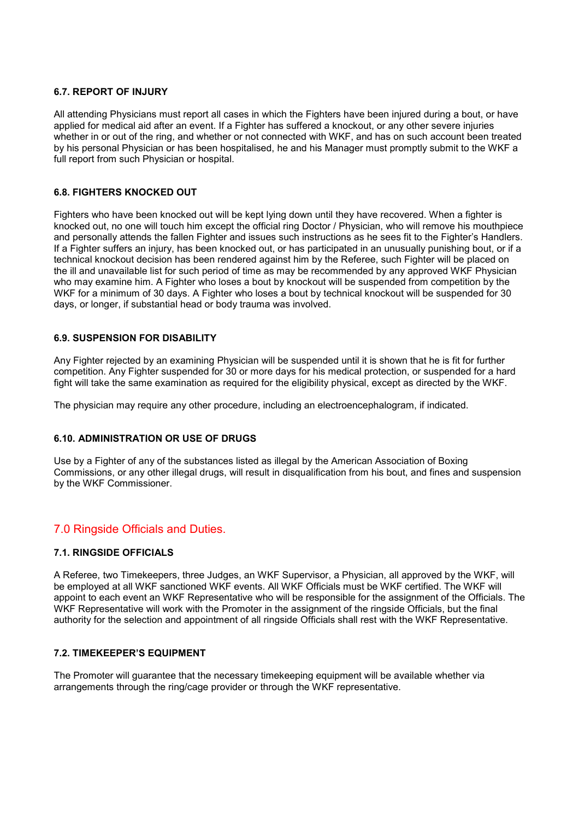#### 6.7. REPORT OF INJURY

All attending Physicians must report all cases in which the Fighters have been injured during a bout, or have applied for medical aid after an event. If a Fighter has suffered a knockout, or any other severe injuries whether in or out of the ring, and whether or not connected with WKF, and has on such account been treated by his personal Physician or has been hospitalised, he and his Manager must promptly submit to the WKF a full report from such Physician or hospital.

#### 6.8. FIGHTERS KNOCKED OUT

Fighters who have been knocked out will be kept lying down until they have recovered. When a fighter is knocked out, no one will touch him except the official ring Doctor / Physician, who will remove his mouthpiece and personally attends the fallen Fighter and issues such instructions as he sees fit to the Fighter's Handlers. If a Fighter suffers an injury, has been knocked out, or has participated in an unusually punishing bout, or if a technical knockout decision has been rendered against him by the Referee, such Fighter will be placed on the ill and unavailable list for such period of time as may be recommended by any approved WKF Physician who may examine him. A Fighter who loses a bout by knockout will be suspended from competition by the WKF for a minimum of 30 days. A Fighter who loses a bout by technical knockout will be suspended for 30 days, or longer, if substantial head or body trauma was involved.

#### 6.9. SUSPENSION FOR DISABILITY

Any Fighter rejected by an examining Physician will be suspended until it is shown that he is fit for further competition. Any Fighter suspended for 30 or more days for his medical protection, or suspended for a hard fight will take the same examination as required for the eligibility physical, except as directed by the WKF.

The physician may require any other procedure, including an electroencephalogram, if indicated.

#### 6.10. ADMINISTRATION OR USE OF DRUGS

Use by a Fighter of any of the substances listed as illegal by the American Association of Boxing Commissions, or any other illegal drugs, will result in disqualification from his bout, and fines and suspension by the WKF Commissioner.

# 7.0 Ringside Officials and Duties.

#### 7.1. RINGSIDE OFFICIALS

A Referee, two Timekeepers, three Judges, an WKF Supervisor, a Physician, all approved by the WKF, will be employed at all WKF sanctioned WKF events. All WKF Officials must be WKF certified. The WKF will appoint to each event an WKF Representative who will be responsible for the assignment of the Officials. The WKF Representative will work with the Promoter in the assignment of the ringside Officials, but the final authority for the selection and appointment of all ringside Officials shall rest with the WKF Representative.

#### 7.2. TIMEKEEPER'S EQUIPMENT

The Promoter will guarantee that the necessary timekeeping equipment will be available whether via arrangements through the ring/cage provider or through the WKF representative.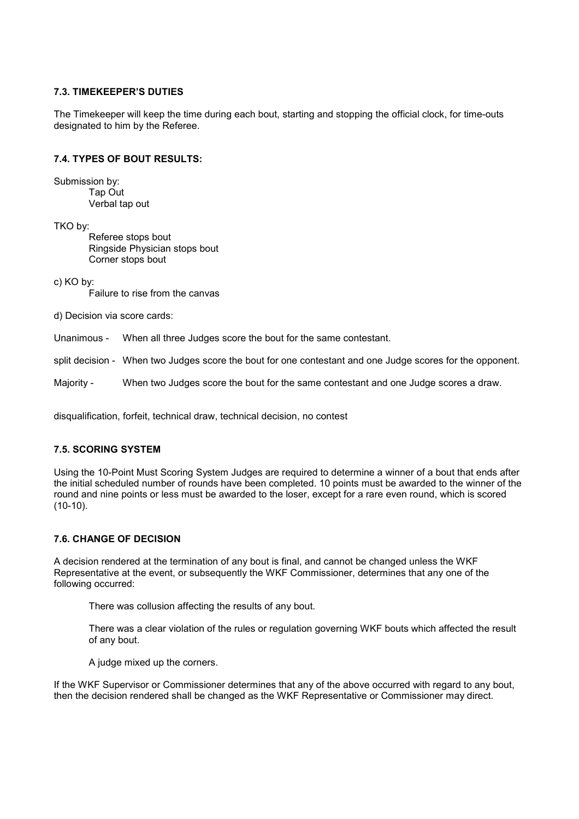#### 7.3. TIMEKEEPER'S DUTIES

The Timekeeper will keep the time during each bout, starting and stopping the official clock, for time-outs designated to him by the Referee.

#### 7.4. TYPES OF BOUT RESULTS:

Submission by: Tap Out Verbal tap out

TKO by:

Referee stops bout Ringside Physician stops bout Corner stops bout

c) KO by:

Failure to rise from the canvas

d) Decision via score cards:

Unanimous - When all three Judges score the bout for the same contestant.

split decision - When two Judges score the bout for one contestant and one Judge scores for the opponent.

Majority - When two Judges score the bout for the same contestant and one Judge scores a draw.

disqualification, forfeit, technical draw, technical decision, no contest

#### 7.5. SCORING SYSTEM

Using the 10-Point Must Scoring System Judges are required to determine a winner of a bout that ends after the initial scheduled number of rounds have been completed. 10 points must be awarded to the winner of the round and nine points or less must be awarded to the loser, except for a rare even round, which is scored (10-10).

#### 7.6. CHANGE OF DECISION

A decision rendered at the termination of any bout is final, and cannot be changed unless the WKF Representative at the event, or subsequently the WKF Commissioner, determines that any one of the following occurred:

There was collusion affecting the results of any bout.

There was a clear violation of the rules or regulation governing WKF bouts which affected the result of any bout.

A judge mixed up the corners.

If the WKF Supervisor or Commissioner determines that any of the above occurred with regard to any bout, then the decision rendered shall be changed as the WKF Representative or Commissioner may direct.